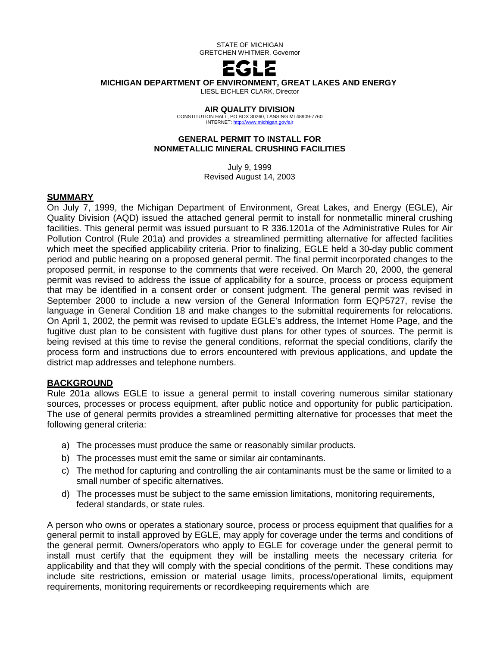

#### **MICHIGAN DEPARTMENT OF ENVIRONMENT, GREAT LAKES AND ENERGY**

LIESL EICHLER CLARK, Director

#### **AIR QUALITY DIVISION**

CONSTITUTION HALL, PO BOX 30260, LANSING MI 48909-7760 INTERNET[: http://www.michigan.gov/air](http://www.michigan.gov/air)

#### **GENERAL PERMIT TO INSTALL FOR NONMETALLIC MINERAL CRUSHING FACILITIES**

July 9, 1999 Revised August 14, 2003

#### **SUMMARY**

On July 7, 1999, the Michigan Department of Environment, Great Lakes, and Energy (EGLE), Air Quality Division (AQD) issued the attached general permit to install for nonmetallic mineral crushing facilities. This general permit was issued pursuant to R 336.1201a of the Administrative Rules for Air Pollution Control (Rule 201a) and provides a streamlined permitting alternative for affected facilities which meet the specified applicability criteria. Prior to finalizing, EGLE held a 30-day public comment period and public hearing on a proposed general permit. The final permit incorporated changes to the proposed permit, in response to the comments that were received. On March 20, 2000, the general permit was revised to address the issue of applicability for a source, process or process equipment that may be identified in a consent order or consent judgment. The general permit was revised in September 2000 to include a new version of the General Information form EQP5727, revise the language in General Condition 18 and make changes to the submittal requirements for relocations. On April 1, 2002, the permit was revised to update EGLE's address, the Internet Home Page, and the fugitive dust plan to be consistent with fugitive dust plans for other types of sources. The permit is being revised at this time to revise the general conditions, reformat the special conditions, clarify the process form and instructions due to errors encountered with previous applications, and update the district map addresses and telephone numbers.

#### **BACKGROUND**

Rule 201a allows EGLE to issue a general permit to install covering numerous similar stationary sources, processes or process equipment, after public notice and opportunity for public participation. The use of general permits provides a streamlined permitting alternative for processes that meet the following general criteria:

- a) The processes must produce the same or reasonably similar products.
- b) The processes must emit the same or similar air contaminants.
- c) The method for capturing and controlling the air contaminants must be the same or limited to a small number of specific alternatives.
- d) The processes must be subject to the same emission limitations, monitoring requirements, federal standards, or state rules.

A person who owns or operates a stationary source, process or process equipment that qualifies for a general permit to install approved by EGLE, may apply for coverage under the terms and conditions of the general permit. Owners/operators who apply to EGLE for coverage under the general permit to install must certify that the equipment they will be installing meets the necessary criteria for applicability and that they will comply with the special conditions of the permit. These conditions may include site restrictions, emission or material usage limits, process/operational limits, equipment requirements, monitoring requirements or recordkeeping requirements which are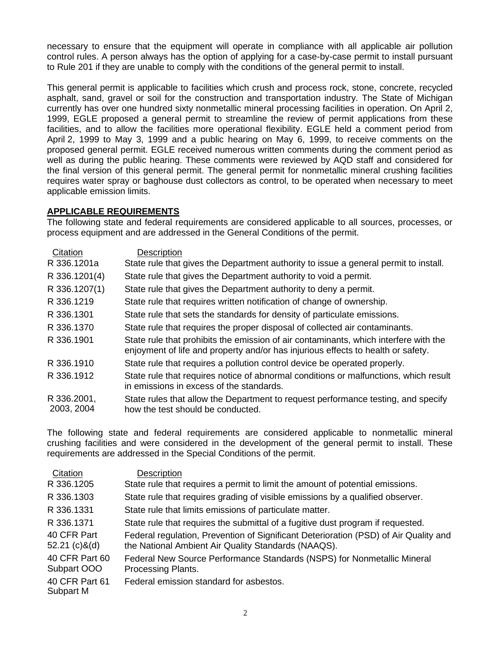necessary to ensure that the equipment will operate in compliance with all applicable air pollution control rules. A person always has the option of applying for a case-by-case permit to install pursuant to Rule 201 if they are unable to comply with the conditions of the general permit to install.

This general permit is applicable to facilities which crush and process rock, stone, concrete, recycled asphalt, sand, gravel or soil for the construction and transportation industry. The State of Michigan currently has over one hundred sixty nonmetallic mineral processing facilities in operation. On April 2, 1999, EGLE proposed a general permit to streamline the review of permit applications from these facilities, and to allow the facilities more operational flexibility. EGLE held a comment period from April 2, 1999 to May 3, 1999 and a public hearing on May 6, 1999, to receive comments on the proposed general permit. EGLE received numerous written comments during the comment period as well as during the public hearing. These comments were reviewed by AQD staff and considered for the final version of this general permit. The general permit for nonmetallic mineral crushing facilities requires water spray or baghouse dust collectors as control, to be operated when necessary to meet applicable emission limits.

# **APPLICABLE REQUIREMENTS**

The following state and federal requirements are considered applicable to all sources, processes, or process equipment and are addressed in the General Conditions of the permit.

| <b>Description</b>                                                                                                                                                       |
|--------------------------------------------------------------------------------------------------------------------------------------------------------------------------|
| State rule that gives the Department authority to issue a general permit to install.                                                                                     |
| State rule that gives the Department authority to void a permit.                                                                                                         |
| State rule that gives the Department authority to deny a permit.                                                                                                         |
| State rule that requires written notification of change of ownership.                                                                                                    |
| State rule that sets the standards for density of particulate emissions.                                                                                                 |
| State rule that requires the proper disposal of collected air contaminants.                                                                                              |
| State rule that prohibits the emission of air contaminants, which interfere with the<br>enjoyment of life and property and/or has injurious effects to health or safety. |
| State rule that requires a pollution control device be operated properly.                                                                                                |
| State rule that requires notice of abnormal conditions or malfunctions, which result<br>in emissions in excess of the standards.                                         |
| State rules that allow the Department to request performance testing, and specify<br>how the test should be conducted.                                                   |
|                                                                                                                                                                          |

The following state and federal requirements are considered applicable to nonmetallic mineral crushing facilities and were considered in the development of the general permit to install. These requirements are addressed in the Special Conditions of the permit.

| Citation                       | Description                                                                                                                                 |
|--------------------------------|---------------------------------------------------------------------------------------------------------------------------------------------|
| R 336.1205                     | State rule that requires a permit to limit the amount of potential emissions.                                                               |
| R 336.1303                     | State rule that requires grading of visible emissions by a qualified observer.                                                              |
| R 336.1331                     | State rule that limits emissions of particulate matter.                                                                                     |
| R 336.1371                     | State rule that requires the submittal of a fugitive dust program if requested.                                                             |
| 40 CFR Part<br>$52.21$ (c)&(d) | Federal regulation, Prevention of Significant Deterioration (PSD) of Air Quality and<br>the National Ambient Air Quality Standards (NAAQS). |
| 40 CFR Part 60<br>Subpart OOO  | Federal New Source Performance Standards (NSPS) for Nonmetallic Mineral<br>Processing Plants.                                               |
| 40 CFR Part 61<br>Subpart M    | Federal emission standard for asbestos.                                                                                                     |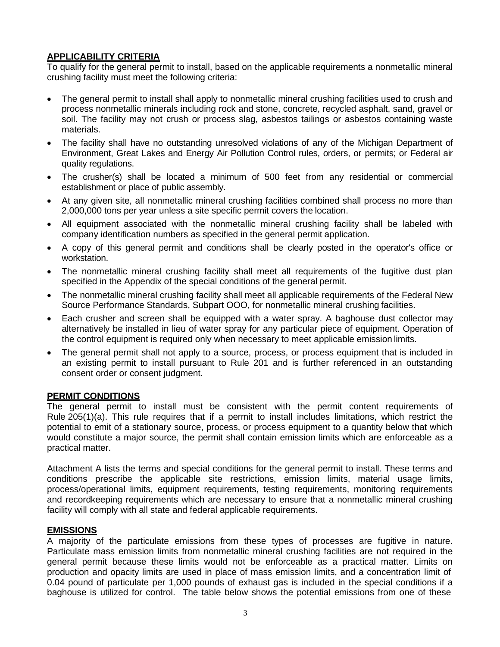# **APPLICABILITY CRITERIA**

To qualify for the general permit to install, based on the applicable requirements a nonmetallic mineral crushing facility must meet the following criteria:

- The general permit to install shall apply to nonmetallic mineral crushing facilities used to crush and process nonmetallic minerals including rock and stone, concrete, recycled asphalt, sand, gravel or soil. The facility may not crush or process slag, asbestos tailings or asbestos containing waste materials.
- The facility shall have no outstanding unresolved violations of any of the Michigan Department of Environment, Great Lakes and Energy Air Pollution Control rules, orders, or permits; or Federal air quality regulations.
- The crusher(s) shall be located a minimum of 500 feet from any residential or commercial establishment or place of public assembly.
- At any given site, all nonmetallic mineral crushing facilities combined shall process no more than 2,000,000 tons per year unless a site specific permit covers the location.
- All equipment associated with the nonmetallic mineral crushing facility shall be labeled with company identification numbers as specified in the general permit application.
- A copy of this general permit and conditions shall be clearly posted in the operator's office or workstation.
- The nonmetallic mineral crushing facility shall meet all requirements of the fugitive dust plan specified in the Appendix of the special conditions of the general permit.
- The nonmetallic mineral crushing facility shall meet all applicable requirements of the Federal New Source Performance Standards, Subpart OOO, for nonmetallic mineral crushing facilities.
- Each crusher and screen shall be equipped with a water spray. A baghouse dust collector may alternatively be installed in lieu of water spray for any particular piece of equipment. Operation of the control equipment is required only when necessary to meet applicable emission limits.
- The general permit shall not apply to a source, process, or process equipment that is included in an existing permit to install pursuant to Rule 201 and is further referenced in an outstanding consent order or consent judgment.

# **PERMIT CONDITIONS**

The general permit to install must be consistent with the permit content requirements of Rule 205(1)(a). This rule requires that if a permit to install includes limitations, which restrict the potential to emit of a stationary source, process, or process equipment to a quantity below that which would constitute a major source, the permit shall contain emission limits which are enforceable as a practical matter.

Attachment A lists the terms and special conditions for the general permit to install. These terms and conditions prescribe the applicable site restrictions, emission limits, material usage limits, process/operational limits, equipment requirements, testing requirements, monitoring requirements and recordkeeping requirements which are necessary to ensure that a nonmetallic mineral crushing facility will comply with all state and federal applicable requirements.

# **EMISSIONS**

A majority of the particulate emissions from these types of processes are fugitive in nature. Particulate mass emission limits from nonmetallic mineral crushing facilities are not required in the general permit because these limits would not be enforceable as a practical matter. Limits on production and opacity limits are used in place of mass emission limits, and a concentration limit of 0.04 pound of particulate per 1,000 pounds of exhaust gas is included in the special conditions if a baghouse is utilized for control. The table below shows the potential emissions from one of these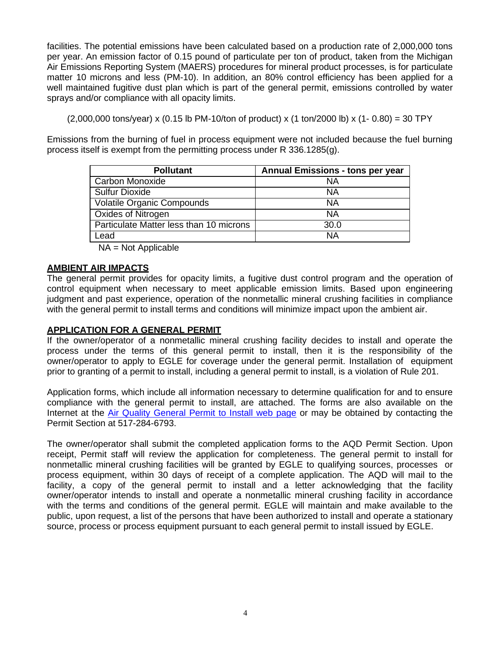facilities. The potential emissions have been calculated based on a production rate of 2,000,000 tons per year. An emission factor of 0.15 pound of particulate per ton of product, taken from the Michigan Air Emissions Reporting System (MAERS) procedures for mineral product processes, is for particulate matter 10 microns and less (PM-10). In addition, an 80% control efficiency has been applied for a well maintained fugitive dust plan which is part of the general permit, emissions controlled by water sprays and/or compliance with all opacity limits.

 $(2,000,000 \text{ tons/year}) \times (0.15 \text{ lb PM-10/t} \text{ton of product}) \times (1 \text{ ton}/2000 \text{ lb}) \times (1 - 0.80) = 30 \text{ TPY}$ 

Emissions from the burning of fuel in process equipment were not included because the fuel burning process itself is exempt from the permitting process under R 336.1285(g).

| <b>Pollutant</b>                        | <b>Annual Emissions - tons per year</b> |
|-----------------------------------------|-----------------------------------------|
| Carbon Monoxide                         | ΝA                                      |
| <b>Sulfur Dioxide</b>                   | NA                                      |
| Volatile Organic Compounds              | ΝA                                      |
| <b>Oxides of Nitrogen</b>               | ΝA                                      |
| Particulate Matter less than 10 microns | 30.0                                    |
| Lead                                    | ΝA                                      |

NA = Not Applicable

# **AMBIENT AIR IMPACTS**

The general permit provides for opacity limits, a fugitive dust control program and the operation of control equipment when necessary to meet applicable emission limits. Based upon engineering judgment and past experience, operation of the nonmetallic mineral crushing facilities in compliance with the general permit to install terms and conditions will minimize impact upon the ambient air.

# **APPLICATION FOR A GENERAL PERMIT**

If the owner/operator of a nonmetallic mineral crushing facility decides to install and operate the process under the terms of this general permit to install, then it is the responsibility of the owner/operator to apply to EGLE for coverage under the general permit. Installation of equipment prior to granting of a permit to install, including a general permit to install, is a violation of Rule 201.

Application forms, which include all information necessary to determine qualification for and to ensure compliance with the general permit to install, are attached. The forms are also available on the Internet at the [Air Quality General Permit to Install web page](http://www.michigan.gov/deq/0%2C4561%2C7-135-3310-389804--%2C00.html) or may be obtained by contacting the Permit Section at 517-284-6793.

The owner/operator shall submit the completed application forms to the AQD Permit Section. Upon receipt, Permit staff will review the application for completeness. The general permit to install for nonmetallic mineral crushing facilities will be granted by EGLE to qualifying sources, processes or process equipment, within 30 days of receipt of a complete application. The AQD will mail to the facility, a copy of the general permit to install and a letter acknowledging that the facility owner/operator intends to install and operate a nonmetallic mineral crushing facility in accordance with the terms and conditions of the general permit. EGLE will maintain and make available to the public, upon request, a list of the persons that have been authorized to install and operate a stationary source, process or process equipment pursuant to each general permit to install issued by EGLE.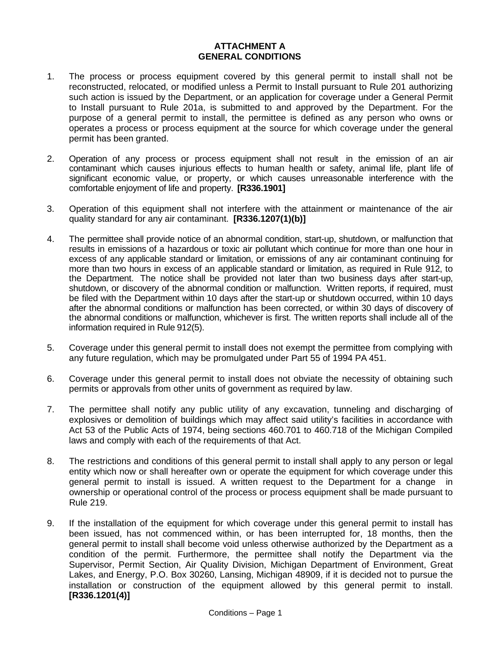### **ATTACHMENT A GENERAL CONDITIONS**

- 1. The process or process equipment covered by this general permit to install shall not be reconstructed, relocated, or modified unless a Permit to Install pursuant to Rule 201 authorizing such action is issued by the Department, or an application for coverage under a General Permit to Install pursuant to Rule 201a, is submitted to and approved by the Department. For the purpose of a general permit to install, the permittee is defined as any person who owns or operates a process or process equipment at the source for which coverage under the general permit has been granted.
- 2. Operation of any process or process equipment shall not result in the emission of an air contaminant which causes injurious effects to human health or safety, animal life, plant life of significant economic value, or property, or which causes unreasonable interference with the comfortable enjoyment of life and property. **[R336.1901]**
- 3. Operation of this equipment shall not interfere with the attainment or maintenance of the air quality standard for any air contaminant. **[R336.1207(1)(b)]**
- 4. The permittee shall provide notice of an abnormal condition, start-up, shutdown, or malfunction that results in emissions of a hazardous or toxic air pollutant which continue for more than one hour in excess of any applicable standard or limitation, or emissions of any air contaminant continuing for more than two hours in excess of an applicable standard or limitation, as required in Rule 912, to the Department. The notice shall be provided not later than two business days after start-up, shutdown, or discovery of the abnormal condition or malfunction. Written reports, if required, must be filed with the Department within 10 days after the start-up or shutdown occurred, within 10 days after the abnormal conditions or malfunction has been corrected, or within 30 days of discovery of the abnormal conditions or malfunction, whichever is first. The written reports shall include all of the information required in Rule 912(5).
- 5. Coverage under this general permit to install does not exempt the permittee from complying with any future regulation, which may be promulgated under Part 55 of 1994 PA 451.
- 6. Coverage under this general permit to install does not obviate the necessity of obtaining such permits or approvals from other units of government as required by law.
- 7. The permittee shall notify any public utility of any excavation, tunneling and discharging of explosives or demolition of buildings which may affect said utility's facilities in accordance with Act 53 of the Public Acts of 1974, being sections 460.701 to 460.718 of the Michigan Compiled laws and comply with each of the requirements of that Act.
- 8. The restrictions and conditions of this general permit to install shall apply to any person or legal entity which now or shall hereafter own or operate the equipment for which coverage under this general permit to install is issued. A written request to the Department for a change in ownership or operational control of the process or process equipment shall be made pursuant to Rule 219.
- 9. If the installation of the equipment for which coverage under this general permit to install has been issued, has not commenced within, or has been interrupted for, 18 months, then the general permit to install shall become void unless otherwise authorized by the Department as a condition of the permit. Furthermore, the permittee shall notify the Department via the Supervisor, Permit Section, Air Quality Division, Michigan Department of Environment, Great Lakes, and Energy, P.O. Box 30260, Lansing, Michigan 48909, if it is decided not to pursue the installation or construction of the equipment allowed by this general permit to install. **[R336.1201(4)]**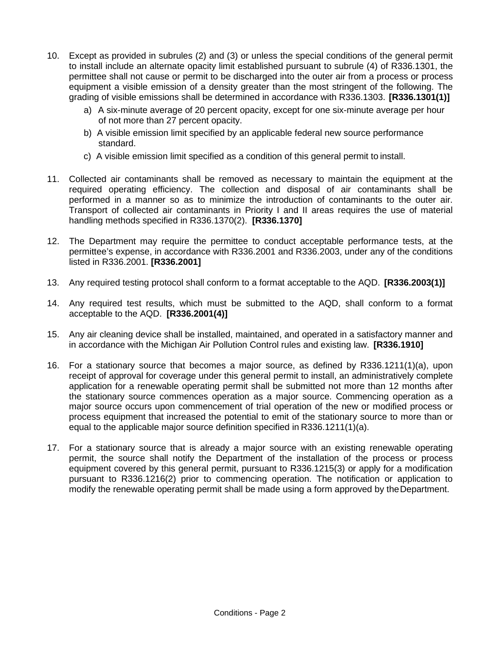- 10. Except as provided in subrules (2) and (3) or unless the special conditions of the general permit to install include an alternate opacity limit established pursuant to subrule (4) of R336.1301, the permittee shall not cause or permit to be discharged into the outer air from a process or process equipment a visible emission of a density greater than the most stringent of the following. The grading of visible emissions shall be determined in accordance with R336.1303. **[R336.1301(1)]**
	- a) A six-minute average of 20 percent opacity, except for one six-minute average per hour of not more than 27 percent opacity.
	- b) A visible emission limit specified by an applicable federal new source performance standard.
	- c) A visible emission limit specified as a condition of this general permit to install.
- 11. Collected air contaminants shall be removed as necessary to maintain the equipment at the required operating efficiency. The collection and disposal of air contaminants shall be performed in a manner so as to minimize the introduction of contaminants to the outer air. Transport of collected air contaminants in Priority I and II areas requires the use of material handling methods specified in R336.1370(2). **[R336.1370]**
- 12. The Department may require the permittee to conduct acceptable performance tests, at the permittee's expense, in accordance with R336.2001 and R336.2003, under any of the conditions listed in R336.2001. **[R336.2001]**
- 13. Any required testing protocol shall conform to a format acceptable to the AQD. **[R336.2003(1)]**
- 14. Any required test results, which must be submitted to the AQD, shall conform to a format acceptable to the AQD. **[R336.2001(4)]**
- 15. Any air cleaning device shall be installed, maintained, and operated in a satisfactory manner and in accordance with the Michigan Air Pollution Control rules and existing law. **[R336.1910]**
- 16. For a stationary source that becomes a major source, as defined by R336.1211(1)(a), upon receipt of approval for coverage under this general permit to install, an administratively complete application for a renewable operating permit shall be submitted not more than 12 months after the stationary source commences operation as a major source. Commencing operation as a major source occurs upon commencement of trial operation of the new or modified process or process equipment that increased the potential to emit of the stationary source to more than or equal to the applicable major source definition specified in R336.1211(1)(a).
- 17. For a stationary source that is already a major source with an existing renewable operating permit, the source shall notify the Department of the installation of the process or process equipment covered by this general permit, pursuant to R336.1215(3) or apply for a modification pursuant to R336.1216(2) prior to commencing operation. The notification or application to modify the renewable operating permit shall be made using a form approved by the Department.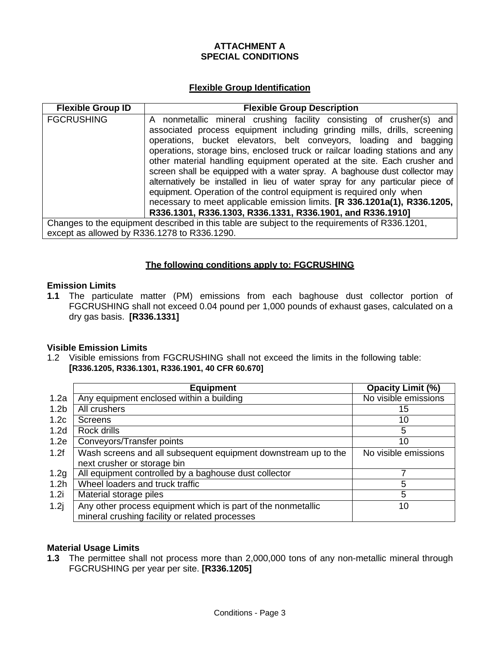# **ATTACHMENT A SPECIAL CONDITIONS**

# **Flexible Group Identification**

| <b>Flexible Group ID</b>                     | <b>Flexible Group Description</b>                                                                                                                                                                                                                                                                                                                                                                                                                                                                                                                                                                                                                                                                                                                                  |
|----------------------------------------------|--------------------------------------------------------------------------------------------------------------------------------------------------------------------------------------------------------------------------------------------------------------------------------------------------------------------------------------------------------------------------------------------------------------------------------------------------------------------------------------------------------------------------------------------------------------------------------------------------------------------------------------------------------------------------------------------------------------------------------------------------------------------|
| <b>FGCRUSHING</b>                            | A nonmetallic mineral crushing facility consisting of crusher(s) and<br>associated process equipment including grinding mills, drills, screening<br>operations, bucket elevators, belt conveyors, loading and bagging<br>operations, storage bins, enclosed truck or railcar loading stations and any<br>other material handling equipment operated at the site. Each crusher and<br>screen shall be equipped with a water spray. A baghouse dust collector may<br>alternatively be installed in lieu of water spray for any particular piece of<br>equipment. Operation of the control equipment is required only when<br>necessary to meet applicable emission limits. [R 336.1201a(1), R336.1205,<br>R336.1301, R336.1303, R336.1331, R336.1901, and R336.1910] |
| except as allowed by R336.1278 to R336.1290. | Changes to the equipment described in this table are subject to the requirements of R336.1201,                                                                                                                                                                                                                                                                                                                                                                                                                                                                                                                                                                                                                                                                     |

# **The following conditions apply to: FGCRUSHING**

## **Emission Limits**

**1.1** The particulate matter (PM) emissions from each baghouse dust collector portion of FGCRUSHING shall not exceed 0.04 pound per 1,000 pounds of exhaust gases, calculated on a dry gas basis. **[R336.1331]**

# **Visible Emission Limits**

1.2 Visible emissions from FGCRUSHING shall not exceed the limits in the following table: **[R336.1205, R336.1301, R336.1901, 40 CFR 60.670]**

|                  | <b>Equipment</b>                                               | <b>Opacity Limit (%)</b> |
|------------------|----------------------------------------------------------------|--------------------------|
| 1.2a             | Any equipment enclosed within a building                       | No visible emissions     |
| 1.2 <sub>b</sub> | All crushers                                                   | 15                       |
| 1.2c             | <b>Screens</b>                                                 | 10                       |
| 1.2 <sub>d</sub> | Rock drills                                                    | 5                        |
| 1.2e             | Conveyors/Transfer points                                      | 10                       |
| 1.2f             | Wash screens and all subsequent equipment downstream up to the | No visible emissions     |
|                  | next crusher or storage bin                                    |                          |
| 1.2g             | All equipment controlled by a baghouse dust collector          |                          |
| 1.2 <sub>h</sub> | Wheel loaders and truck traffic                                | 5                        |
| 1.2i             | Material storage piles                                         | 5                        |
| 1.2j             | Any other process equipment which is part of the nonmetallic   | 10                       |
|                  | mineral crushing facility or related processes                 |                          |

#### **Material Usage Limits**

**1.3** The permittee shall not process more than 2,000,000 tons of any non-metallic mineral through FGCRUSHING per year per site. **[R336.1205]**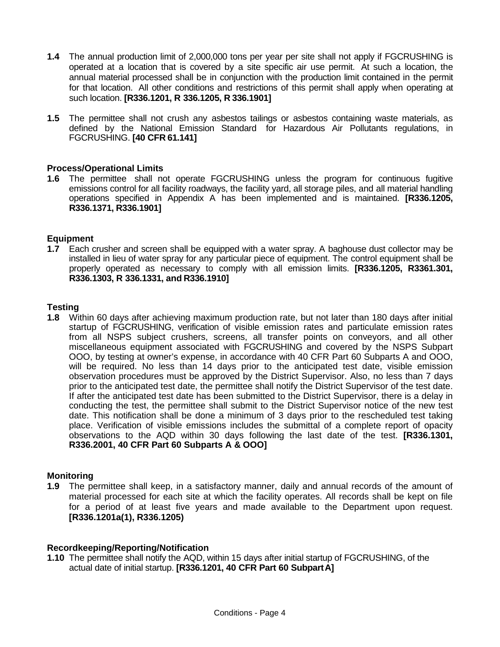- **1.4** The annual production limit of 2,000,000 tons per year per site shall not apply if FGCRUSHING is operated at a location that is covered by a site specific air use permit. At such a location, the annual material processed shall be in conjunction with the production limit contained in the permit for that location. All other conditions and restrictions of this permit shall apply when operating at such location. **[R336.1201, R 336.1205, R 336.1901]**
- **1.5** The permittee shall not crush any asbestos tailings or asbestos containing waste materials, as defined by the National Emission Standard for Hazardous Air Pollutants regulations, in FGCRUSHING. **[40 CFR 61.141]**

### **Process/Operational Limits**

**1.6** The permittee shall not operate FGCRUSHING unless the program for continuous fugitive emissions control for all facility roadways, the facility yard, all storage piles, and all material handling operations specified in Appendix A has been implemented and is maintained. **[R336.1205, R336.1371, R336.1901]**

### **Equipment**

**1.7** Each crusher and screen shall be equipped with a water spray. A baghouse dust collector may be installed in lieu of water spray for any particular piece of equipment. The control equipment shall be properly operated as necessary to comply with all emission limits. **[R336.1205, R3361.301, R336.1303, R 336.1331, and R336.1910]**

### **Testing**

**1.8** Within 60 days after achieving maximum production rate, but not later than 180 days after initial startup of FGCRUSHING, verification of visible emission rates and particulate emission rates from all NSPS subject crushers, screens, all transfer points on conveyors, and all other miscellaneous equipment associated with FGCRUSHING and covered by the NSPS Subpart OOO, by testing at owner's expense, in accordance with 40 CFR Part 60 Subparts A and OOO, will be required. No less than 14 days prior to the anticipated test date, visible emission observation procedures must be approved by the District Supervisor. Also, no less than 7 days prior to the anticipated test date, the permittee shall notify the District Supervisor of the test date. If after the anticipated test date has been submitted to the District Supervisor, there is a delay in conducting the test, the permittee shall submit to the District Supervisor notice of the new test date. This notification shall be done a minimum of 3 days prior to the rescheduled test taking place. Verification of visible emissions includes the submittal of a complete report of opacity observations to the AQD within 30 days following the last date of the test. **[R336.1301, R336.2001, 40 CFR Part 60 Subparts A & OOO]**

#### **Monitoring**

**1.9** The permittee shall keep, in a satisfactory manner, daily and annual records of the amount of material processed for each site at which the facility operates. All records shall be kept on file for a period of at least five years and made available to the Department upon request. **[R336.1201a(1), R336.1205)**

#### **Recordkeeping/Reporting/Notification**

**1.10** The permittee shall notify the AQD, within 15 days after initial startup of FGCRUSHING, of the actual date of initial startup. **[R336.1201, 40 CFR Part 60 SubpartA]**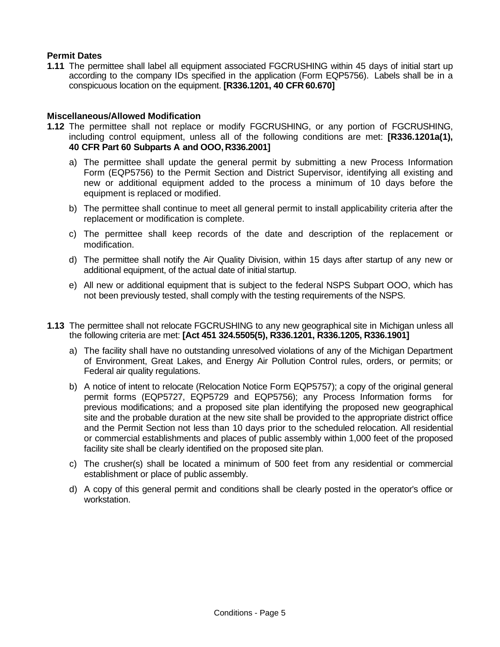# **Permit Dates**

**1.11** The permittee shall label all equipment associated FGCRUSHING within 45 days of initial start up according to the company IDs specified in the application (Form EQP5756). Labels shall be in a conspicuous location on the equipment. **[R336.1201, 40 CFR 60.670]**

### **Miscellaneous/Allowed Modification**

- **1.12** The permittee shall not replace or modify FGCRUSHING, or any portion of FGCRUSHING, including control equipment, unless all of the following conditions are met: **[R336.1201a(1), 40 CFR Part 60 Subparts A and OOO, R336.2001]**
	- a) The permittee shall update the general permit by submitting a new Process Information Form (EQP5756) to the Permit Section and District Supervisor, identifying all existing and new or additional equipment added to the process a minimum of 10 days before the equipment is replaced or modified.
	- b) The permittee shall continue to meet all general permit to install applicability criteria after the replacement or modification is complete.
	- c) The permittee shall keep records of the date and description of the replacement or modification.
	- d) The permittee shall notify the Air Quality Division, within 15 days after startup of any new or additional equipment, of the actual date of initial startup.
	- e) All new or additional equipment that is subject to the federal NSPS Subpart OOO, which has not been previously tested, shall comply with the testing requirements of the NSPS.
- **1.13** The permittee shall not relocate FGCRUSHING to any new geographical site in Michigan unless all the following criteria are met: **[Act 451 324.5505(5), R336.1201, R336.1205, R336.1901]**
	- a) The facility shall have no outstanding unresolved violations of any of the Michigan Department of Environment, Great Lakes, and Energy Air Pollution Control rules, orders, or permits; or Federal air quality regulations.
	- b) A notice of intent to relocate (Relocation Notice Form EQP5757); a copy of the original general permit forms (EQP5727, EQP5729 and EQP5756); any Process Information forms for previous modifications; and a proposed site plan identifying the proposed new geographical site and the probable duration at the new site shall be provided to the appropriate district office and the Permit Section not less than 10 days prior to the scheduled relocation. All residential or commercial establishments and places of public assembly within 1,000 feet of the proposed facility site shall be clearly identified on the proposed site plan.
	- c) The crusher(s) shall be located a minimum of 500 feet from any residential or commercial establishment or place of public assembly.
	- d) A copy of this general permit and conditions shall be clearly posted in the operator's office or workstation.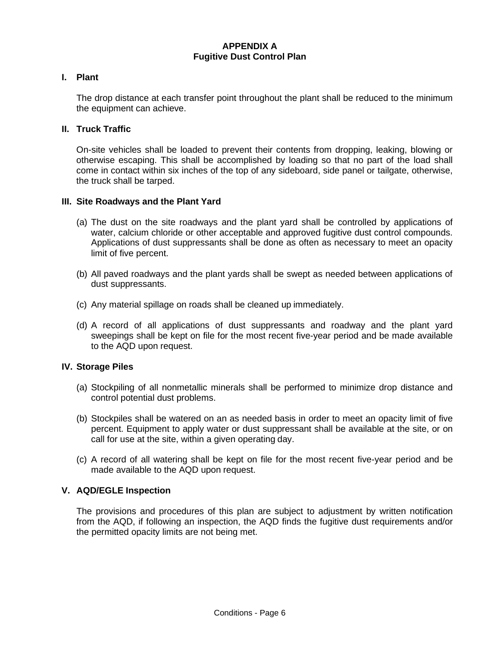## **APPENDIX A Fugitive Dust Control Plan**

#### **I. Plant**

The drop distance at each transfer point throughout the plant shall be reduced to the minimum the equipment can achieve.

#### **II. Truck Traffic**

On-site vehicles shall be loaded to prevent their contents from dropping, leaking, blowing or otherwise escaping. This shall be accomplished by loading so that no part of the load shall come in contact within six inches of the top of any sideboard, side panel or tailgate, otherwise, the truck shall be tarped.

#### **III. Site Roadways and the Plant Yard**

- (a) The dust on the site roadways and the plant yard shall be controlled by applications of water, calcium chloride or other acceptable and approved fugitive dust control compounds. Applications of dust suppressants shall be done as often as necessary to meet an opacity limit of five percent.
- (b) All paved roadways and the plant yards shall be swept as needed between applications of dust suppressants.
- (c) Any material spillage on roads shall be cleaned up immediately.
- (d) A record of all applications of dust suppressants and roadway and the plant yard sweepings shall be kept on file for the most recent five-year period and be made available to the AQD upon request.

#### **IV. Storage Piles**

- (a) Stockpiling of all nonmetallic minerals shall be performed to minimize drop distance and control potential dust problems.
- (b) Stockpiles shall be watered on an as needed basis in order to meet an opacity limit of five percent. Equipment to apply water or dust suppressant shall be available at the site, or on call for use at the site, within a given operating day.
- (c) A record of all watering shall be kept on file for the most recent five-year period and be made available to the AQD upon request.

#### **V. AQD/EGLE Inspection**

The provisions and procedures of this plan are subject to adjustment by written notification from the AQD, if following an inspection, the AQD finds the fugitive dust requirements and/or the permitted opacity limits are not being met.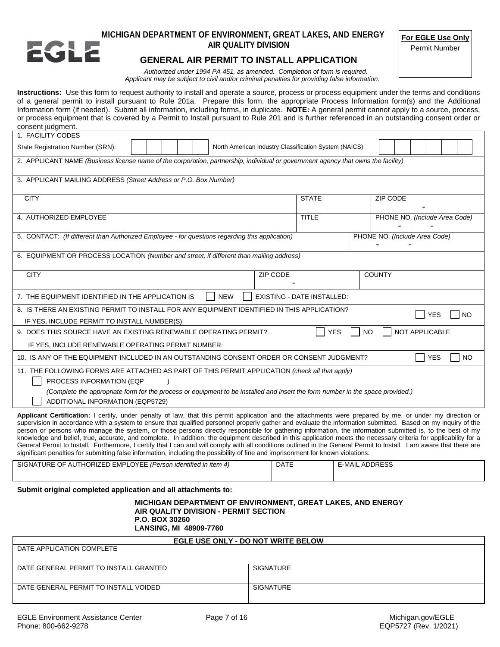

# **MICHIGAN DEPARTMENT OF ENVIRONMENT, GREAT LAKES, AND ENERGY AIR QUALITY DIVISION**

**For EGLE Use Only**

Permit Number

#### **GENERAL AIR PERMIT TO INSTALL APPLICATION**

*Authorized under 1994 PA 451, as amended. Completion of form is required. Applicant may be subject to civil and/or criminal penalties for providing false information.*

**Instructions:** Use this form to request authority to install and operate a source, process or process equipment under the terms and conditions of a general permit to install pursuant to Rule 201a. Prepare this form, the appropriate Process Information form(s) and the Additional Information form (if needed). Submit all information, including forms, in duplicate. **NOTE:** A general permit cannot apply to a source, process, or process equipment that is covered by a Permit to Install pursuant to Rule 201 and is further referenced in an outstanding consent order or consent judgment.

| 1. FACILITY CODES                                                                                                                                                                                                                                                                                                         |                                                                                                                                   |  |            |          |                                   |           |                               |  |                       |                               |           |  |
|---------------------------------------------------------------------------------------------------------------------------------------------------------------------------------------------------------------------------------------------------------------------------------------------------------------------------|-----------------------------------------------------------------------------------------------------------------------------------|--|------------|----------|-----------------------------------|-----------|-------------------------------|--|-----------------------|-------------------------------|-----------|--|
| State Registration Number (SRN):                                                                                                                                                                                                                                                                                          | North American Industry Classification System (NAICS)                                                                             |  |            |          |                                   |           |                               |  |                       |                               |           |  |
|                                                                                                                                                                                                                                                                                                                           | 2. APPLICANT NAME (Business license name of the corporation, partnership, individual or government agency that owns the facility) |  |            |          |                                   |           |                               |  |                       |                               |           |  |
| 3. APPLICANT MAILING ADDRESS (Street Address or P.O. Box Number)                                                                                                                                                                                                                                                          |                                                                                                                                   |  |            |          |                                   |           |                               |  |                       |                               |           |  |
| <b>CITY</b>                                                                                                                                                                                                                                                                                                               |                                                                                                                                   |  |            |          | <b>STATE</b>                      |           | <b>ZIP CODE</b>               |  |                       |                               |           |  |
| 4. AUTHORIZED EMPLOYEE                                                                                                                                                                                                                                                                                                    |                                                                                                                                   |  |            |          | <b>TITLE</b>                      |           |                               |  |                       | PHONE NO. (Include Area Code) |           |  |
| 5. CONTACT: (If different than Authorized Employee - for questions regarding this application)                                                                                                                                                                                                                            |                                                                                                                                   |  |            |          |                                   |           | PHONE NO. (Include Area Code) |  |                       |                               |           |  |
| 6. EQUIPMENT OR PROCESS LOCATION (Number and street, if different than mailing address)                                                                                                                                                                                                                                   |                                                                                                                                   |  |            |          |                                   |           |                               |  |                       |                               |           |  |
| <b>CITY</b>                                                                                                                                                                                                                                                                                                               |                                                                                                                                   |  |            | ZIP CODE |                                   |           | <b>COUNTY</b>                 |  |                       |                               |           |  |
| 7. THE EQUIPMENT IDENTIFIED IN THE APPLICATION IS                                                                                                                                                                                                                                                                         |                                                                                                                                   |  | <b>NEW</b> |          | <b>EXISTING - DATE INSTALLED:</b> |           |                               |  |                       |                               |           |  |
| 8. IS THERE AN EXISTING PERMIT TO INSTALL FOR ANY EQUIPMENT IDENTIFIED IN THIS APPLICATION?<br>IF YES, INCLUDE PERMIT TO INSTALL NUMBER(S)                                                                                                                                                                                |                                                                                                                                   |  |            |          |                                   |           |                               |  |                       | <b>YES</b>                    | <b>NO</b> |  |
| 9. DOES THIS SOURCE HAVE AN EXISTING RENEWABLE OPERATING PERMIT?                                                                                                                                                                                                                                                          |                                                                                                                                   |  |            |          | <b>YES</b>                        | <b>NO</b> |                               |  | <b>NOT APPLICABLE</b> |                               |           |  |
| IF YES, INCLUDE RENEWABLE OPERATING PERMIT NUMBER:                                                                                                                                                                                                                                                                        |                                                                                                                                   |  |            |          |                                   |           |                               |  |                       |                               |           |  |
| 10. IS ANY OF THE EQUIPMENT INCLUDED IN AN OUTSTANDING CONSENT ORDER OR CONSENT JUDGMENT?<br><b>YES</b><br><b>NO</b>                                                                                                                                                                                                      |                                                                                                                                   |  |            |          |                                   |           |                               |  |                       |                               |           |  |
| 11. THE FOLLOWING FORMS ARE ATTACHED AS PART OF THIS PERMIT APPLICATION (check all that apply)<br>PROCESS INFORMATION (EQP                                                                                                                                                                                                |                                                                                                                                   |  |            |          |                                   |           |                               |  |                       |                               |           |  |
| (Complete the appropriate form for the process or equipment to be installed and insert the form number in the space provided.)<br>ADDITIONAL INFORMATION (EQP5729)                                                                                                                                                        |                                                                                                                                   |  |            |          |                                   |           |                               |  |                       |                               |           |  |
| Applicant Certification: I certify, under penalty of law, that this permit application and the attachments were prepared by me, or under my direction or<br>supervision in accordance with a system to ensure that qualified personnel properly gather and evaluate the information submitted. Based on my inquiry of the |                                                                                                                                   |  |            |          |                                   |           |                               |  |                       |                               |           |  |

person or persons who manage the system, or those persons directly responsible for gathering information, the information submitted is, to the best of my knowledge and belief, true, accurate, and complete. In addition, the equipment described in this application meets the necessary criteria for applicability for a General Permit to Install. Furthermore, I certify that I can and will comply with all conditions outlined in the General Permit to Install. I am aware that there are significant penalties for submitting false information, including the possibility of fine and imprisonment for known violations.

| SIGNATURE OF AUTHORIZED EMPLOYEE (Person identified in item 4) | <b>DATE</b> | ADDRESS<br>E-MAIL |
|----------------------------------------------------------------|-------------|-------------------|
|                                                                |             |                   |

**Submit original completed application and all attachments to:**

#### **MICHIGAN DEPARTMENT OF ENVIRONMENT, GREAT LAKES, AND ENERGY AIR QUALITY DIVISION - PERMIT SECTION P.O. BOX 30260 LANSING, MI 48909-7760**

| EGLE USE ONLY - DO NOT WRITE BELOW     |                  |  |  |  |  |  |  |  |
|----------------------------------------|------------------|--|--|--|--|--|--|--|
| DATE APPLICATION COMPLETE              |                  |  |  |  |  |  |  |  |
|                                        |                  |  |  |  |  |  |  |  |
| DATE GENERAL PERMIT TO INSTALL GRANTED | <b>SIGNATURE</b> |  |  |  |  |  |  |  |
|                                        |                  |  |  |  |  |  |  |  |
| DATE GENERAL PERMIT TO INSTALL VOIDED  | <b>SIGNATURE</b> |  |  |  |  |  |  |  |
|                                        |                  |  |  |  |  |  |  |  |
|                                        |                  |  |  |  |  |  |  |  |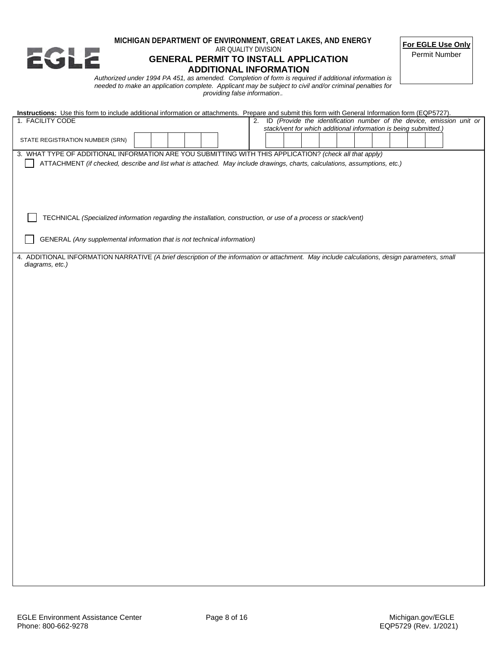

#### **MICHIGAN DEPARTMENT OF ENVIRONMENT, GREAT LAKES, AND ENERGY** AIR QUALITY DIVISION

# **GENERAL PERMIT TO INSTALL APPLICATION ADDITIONAL INFORMATION**

**For EGLE Use Only**

Permit Number

*Authorized under 1994 PA 451, as amended. Completion of form is required if additional information is needed to make an application complete. Applicant may be subject to civil and/or criminal penalties for providing false information*.*.* 

| Instructions: Use this form to include additional information or attachments. Prepare and submit this form with General Information form (EQP5727). |  |  |  |  |  |  |  |                                                                  |  |  |  |
|-----------------------------------------------------------------------------------------------------------------------------------------------------|--|--|--|--|--|--|--|------------------------------------------------------------------|--|--|--|
| ID (Provide the identification number of the device, emission unit or<br>1. FACILITY CODE<br>2.                                                     |  |  |  |  |  |  |  |                                                                  |  |  |  |
|                                                                                                                                                     |  |  |  |  |  |  |  | stack/vent for which additional information is being submitted.) |  |  |  |
| STATE REGISTRATION NUMBER (SRN)                                                                                                                     |  |  |  |  |  |  |  |                                                                  |  |  |  |
| 3. WHAT TYPE OF ADDITIONAL INFORMATION ARE YOU SUBMITTING WITH THIS APPLICATION? (check all that apply)                                             |  |  |  |  |  |  |  |                                                                  |  |  |  |
| ATTACHMENT (if checked, describe and list what is attached. May include drawings, charts, calculations, assumptions, etc.)                          |  |  |  |  |  |  |  |                                                                  |  |  |  |
|                                                                                                                                                     |  |  |  |  |  |  |  |                                                                  |  |  |  |
|                                                                                                                                                     |  |  |  |  |  |  |  |                                                                  |  |  |  |
|                                                                                                                                                     |  |  |  |  |  |  |  |                                                                  |  |  |  |
|                                                                                                                                                     |  |  |  |  |  |  |  |                                                                  |  |  |  |
|                                                                                                                                                     |  |  |  |  |  |  |  |                                                                  |  |  |  |
|                                                                                                                                                     |  |  |  |  |  |  |  |                                                                  |  |  |  |
| TECHNICAL (Specialized information regarding the installation, construction, or use of a process or stack/vent)                                     |  |  |  |  |  |  |  |                                                                  |  |  |  |
|                                                                                                                                                     |  |  |  |  |  |  |  |                                                                  |  |  |  |
| GENERAL (Any supplemental information that is not technical information)                                                                            |  |  |  |  |  |  |  |                                                                  |  |  |  |
|                                                                                                                                                     |  |  |  |  |  |  |  |                                                                  |  |  |  |
| 4. ADDITIONAL INFORMATION NARRATIVE (A brief description of the information or attachment. May include calculations, design parameters, small       |  |  |  |  |  |  |  |                                                                  |  |  |  |
| diagrams, etc.)                                                                                                                                     |  |  |  |  |  |  |  |                                                                  |  |  |  |
|                                                                                                                                                     |  |  |  |  |  |  |  |                                                                  |  |  |  |
|                                                                                                                                                     |  |  |  |  |  |  |  |                                                                  |  |  |  |
|                                                                                                                                                     |  |  |  |  |  |  |  |                                                                  |  |  |  |
|                                                                                                                                                     |  |  |  |  |  |  |  |                                                                  |  |  |  |
|                                                                                                                                                     |  |  |  |  |  |  |  |                                                                  |  |  |  |
|                                                                                                                                                     |  |  |  |  |  |  |  |                                                                  |  |  |  |
|                                                                                                                                                     |  |  |  |  |  |  |  |                                                                  |  |  |  |
|                                                                                                                                                     |  |  |  |  |  |  |  |                                                                  |  |  |  |
|                                                                                                                                                     |  |  |  |  |  |  |  |                                                                  |  |  |  |
|                                                                                                                                                     |  |  |  |  |  |  |  |                                                                  |  |  |  |
|                                                                                                                                                     |  |  |  |  |  |  |  |                                                                  |  |  |  |
|                                                                                                                                                     |  |  |  |  |  |  |  |                                                                  |  |  |  |
|                                                                                                                                                     |  |  |  |  |  |  |  |                                                                  |  |  |  |
|                                                                                                                                                     |  |  |  |  |  |  |  |                                                                  |  |  |  |
|                                                                                                                                                     |  |  |  |  |  |  |  |                                                                  |  |  |  |
|                                                                                                                                                     |  |  |  |  |  |  |  |                                                                  |  |  |  |
|                                                                                                                                                     |  |  |  |  |  |  |  |                                                                  |  |  |  |
|                                                                                                                                                     |  |  |  |  |  |  |  |                                                                  |  |  |  |
|                                                                                                                                                     |  |  |  |  |  |  |  |                                                                  |  |  |  |
|                                                                                                                                                     |  |  |  |  |  |  |  |                                                                  |  |  |  |
|                                                                                                                                                     |  |  |  |  |  |  |  |                                                                  |  |  |  |
|                                                                                                                                                     |  |  |  |  |  |  |  |                                                                  |  |  |  |
|                                                                                                                                                     |  |  |  |  |  |  |  |                                                                  |  |  |  |
|                                                                                                                                                     |  |  |  |  |  |  |  |                                                                  |  |  |  |
|                                                                                                                                                     |  |  |  |  |  |  |  |                                                                  |  |  |  |
|                                                                                                                                                     |  |  |  |  |  |  |  |                                                                  |  |  |  |
|                                                                                                                                                     |  |  |  |  |  |  |  |                                                                  |  |  |  |
|                                                                                                                                                     |  |  |  |  |  |  |  |                                                                  |  |  |  |
|                                                                                                                                                     |  |  |  |  |  |  |  |                                                                  |  |  |  |
|                                                                                                                                                     |  |  |  |  |  |  |  |                                                                  |  |  |  |
|                                                                                                                                                     |  |  |  |  |  |  |  |                                                                  |  |  |  |
|                                                                                                                                                     |  |  |  |  |  |  |  |                                                                  |  |  |  |
|                                                                                                                                                     |  |  |  |  |  |  |  |                                                                  |  |  |  |
|                                                                                                                                                     |  |  |  |  |  |  |  |                                                                  |  |  |  |
|                                                                                                                                                     |  |  |  |  |  |  |  |                                                                  |  |  |  |
|                                                                                                                                                     |  |  |  |  |  |  |  |                                                                  |  |  |  |
|                                                                                                                                                     |  |  |  |  |  |  |  |                                                                  |  |  |  |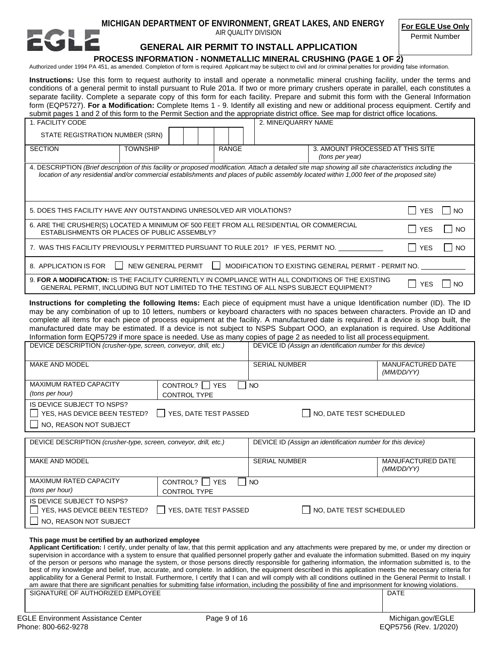## **MICHIGAN DEPARTMENT OF ENVIRONMENT, GREAT LAKES, AND ENERGY**

AIR QUALITY DIVISION

**For EGLE Use Only**

#### **GENERAL AIR PERMIT TO INSTALL APPLICATION**

Permit Number

#### **PROCESS INFORMATION - NONMETALLIC MINERAL CRUSHING (PAGE 1 OF 2)** Authorized under 1994 PA 451, as amended. Completion of form is required. Applicant may be subject to civil and /or criminal penalties for providing false information.

**Instructions:** Use this form to request authority to install and operate a nonmetallic mineral crushing facility, under the terms and conditions of a general permit to install pursuant to Rule 201a. If two or more primary crushers operate in parallel, each constitutes a separate facility. Complete a separate copy of this form for each facility. Prepare and submit this form with the General Information form (EQP5727). **For a Modification:** Complete Items 1 - 9. Identify all existing and new or additional process equipment. Certify and submit pages 1 and 2 of this form to the Permit Section and the appropriate district office. See map for district office locations.

| 1. FACILITY CODE                                                                                                                                                                                                                                                                                     |                                                                                            |  |  |              | 2. MINE/QUARRY NAME |                                                     |                         |  |
|------------------------------------------------------------------------------------------------------------------------------------------------------------------------------------------------------------------------------------------------------------------------------------------------------|--------------------------------------------------------------------------------------------|--|--|--------------|---------------------|-----------------------------------------------------|-------------------------|--|
| STATE REGISTRATION NUMBER (SRN)                                                                                                                                                                                                                                                                      |                                                                                            |  |  |              |                     |                                                     |                         |  |
| <b>SECTION</b>                                                                                                                                                                                                                                                                                       | <b>TOWNSHIP</b>                                                                            |  |  | <b>RANGE</b> |                     | 3. AMOUNT PROCESSED AT THIS SITE<br>(tons per year) |                         |  |
| 4. DESCRIPTION (Brief description of this facility or proposed modification. Attach a detailed site map showing all site characteristics including the<br>location of any residential and/or commercial establishments and places of public assembly located within 1,000 feet of the proposed site) |                                                                                            |  |  |              |                     |                                                     |                         |  |
|                                                                                                                                                                                                                                                                                                      | 5. DOES THIS FACILITY HAVE ANY OUTSTANDING UNRESOLVED AIR VIOLATIONS?<br><b>YES</b><br>NO. |  |  |              |                     |                                                     |                         |  |
| 6. ARE THE CRUSHER(S) LOCATED A MINIMUM OF 500 FEET FROM ALL RESIDENTIAL OR COMMERCIAL<br>$\blacksquare$<br><b>YES</b><br>ESTABLISHMENTS OR PLACES OF PUBLIC ASSEMBLY?                                                                                                                               |                                                                                            |  |  |              |                     |                                                     | <b>NO</b>               |  |
| $\blacksquare$<br>7. WAS THIS FACILITY PREVIOUSLY PERMITTED PURSUANT TO RULE 201? IF YES, PERMIT NO.                                                                                                                                                                                                 |                                                                                            |  |  |              |                     |                                                     | <b>YES</b><br><b>NO</b> |  |
| NEW GENERAL PERMIT<br>8. APPLICATION IS FOR<br>MODIFICATION TO EXISTING GENERAL PERMIT - PERMIT NO.                                                                                                                                                                                                  |                                                                                            |  |  |              |                     |                                                     |                         |  |
| 9. FOR A MODIFICATION: IS THE FACILITY CURRENTLY IN COMPLIANCE WITH ALL CONDITIONS OF THE EXISTING<br><b>YES</b><br><b>NO</b><br>GENERAL PERMIT, INCLUDING BUT NOT LIMITED TO THE TESTING OF ALL NSPS SUBJECT EQUIPMENT?                                                                             |                                                                                            |  |  |              |                     |                                                     |                         |  |
| Instructions for completing the following Items: Each piece of equipment must have a unique Identification number (ID). The ID                                                                                                                                                                       |                                                                                            |  |  |              |                     |                                                     |                         |  |

may be any combination of up to 10 letters, numbers or keyboard characters with no spaces between characters. Provide an ID and complete all items for each piece of process equipment at the facility. A manufactured date is required. If a device is shop built, the manufactured date may be estimated. If a device is not subject to NSPS Subpart OOO, an explanation is required. Use Additional Information form EQP5729 if more space is needed. Use as many copies of page 2 as needed to list all processequipment.

| DEVICE DESCRIPTION (crusher-type, screen, conveyor, drill, etc.)                       |                                                                               | DEVICE ID (Assign an identification number for this device) |                                        |  |  |
|----------------------------------------------------------------------------------------|-------------------------------------------------------------------------------|-------------------------------------------------------------|----------------------------------------|--|--|
| <b>MAKE AND MODEL</b>                                                                  |                                                                               | <b>SERIAL NUMBER</b>                                        | <b>MANUFACTURED DATE</b><br>(MM/DD/YY) |  |  |
| <b>MAXIMUM RATED CAPACITY</b><br>(tons per hour)                                       | CONTROL?    <br><b>YES</b><br>$\overline{\phantom{a}}$<br><b>CONTROL TYPE</b> | NO                                                          |                                        |  |  |
| IS DEVICE SUBJECT TO NSPS?<br>  YES, HAS DEVICE BEEN TESTED?<br>NO, REASON NOT SUBJECT | YES, DATE TEST PASSED<br>NO, DATE TEST SCHEDULED                              |                                                             |                                        |  |  |
| DEVICE DESCRIPTION (crusher-type, screen, conveyor, drill, etc.)                       |                                                                               | DEVICE ID (Assign an identification number for this device) |                                        |  |  |
| <b>MAKE AND MODEL</b>                                                                  |                                                                               | <b>SERIAL NUMBER</b>                                        | <b>MANUFACTURED DATE</b><br>(MM/DD/YY) |  |  |
| <b>MAXIMUM RATED CAPACITY</b><br>(tons per hour)                                       | CONTROL?    <br><b>YES</b><br><b>CONTROL TYPE</b>                             | NO                                                          |                                        |  |  |
| IS DEVICE SUBJECT TO NSPS?<br>YES, HAS DEVICE BEEN TESTED?<br>NO, REASON NOT SUBJECT   | SES, DATE TEST PASSED                                                         | NO, DATE TEST SCHEDULED                                     |                                        |  |  |

#### **This page must be certified by an authorized employee**

**Applicant Certification:** I certify, under penalty of law, that this permit application and any attachments were prepared by me, or under my direction or supervision in accordance with a system to ensure that qualified personnel properly gather and evaluate the information submitted. Based on my inquiry of the person or persons who manage the system, or those persons directly responsible for gathering information, the information submitted is, to the best of my knowledge and belief, true, accurate, and complete. In addition, the equipment described in this application meets the necessary criteria for applicability for a General Permit to Install. Furthermore, I certify that I can and will comply with all conditions outlined in the General Permit to Install. I am aware that there are significant penalties for submitting false information, including the possibility of fine and imprisonment for knowing violations.

SIGNATURE OF AUTHORIZED EMPLOYEE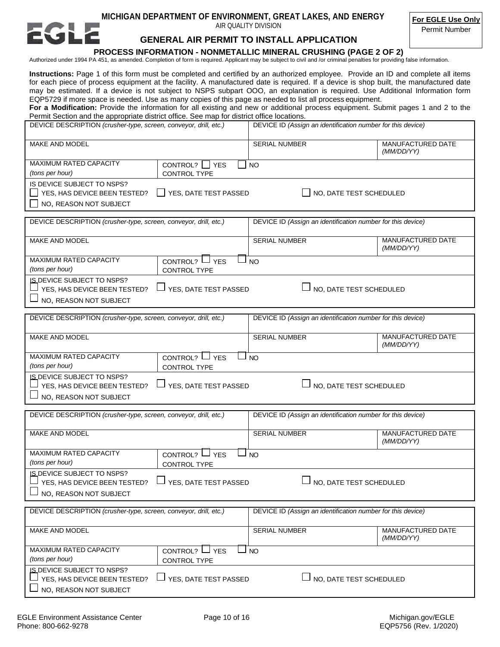# **MICHIGAN DEPARTMENT OF ENVIRONMENT, GREAT LAKES, AND ENERGY**

AIR QUALITY DIVISION

**For EGLE Use Only**

Permit Number

# **GENERAL AIR PERMIT TO INSTALL APPLICATION**

#### **PROCESS INFORMATION - NONMETALLIC MINERAL CRUSHING (PAGE 2 OF 2)**

Authorized under 1994 PA 451, as amended. Completion of form is required. Applicant may be subject to civil and /or criminal penalties for providing false information.

**Instructions:** Page 1 of this form must be completed and certified by an authorized employee. Provide an ID and complete all items for each piece of process equipment at the facility. A manufactured date is required. If a device is shop built, the manufactured date may be estimated. If a device is not subject to NSPS subpart OOO, an explanation is required. Use Additional Information form EQP5729 if more space is needed. Use as many copies of this page as needed to list all process equipment.

For a Modification: Provide the information for all existing and new or additional process equipment. Submit pages 1 and 2 to the Permit Section and the appropriate district office. See map for district office locations.

| DEVICE DESCRIPTION (crusher-type, screen, conveyor, drill, etc.)                                                                                | DEVICE ID (Assign an identification number for this device) |                                        |  |
|-------------------------------------------------------------------------------------------------------------------------------------------------|-------------------------------------------------------------|----------------------------------------|--|
| MAKE AND MODEL                                                                                                                                  | SERIAL NUMBER                                               | <b>MANUFACTURED DATE</b><br>(MM/DD/YY) |  |
| <b>MAXIMUM RATED CAPACITY</b><br>CONTROL? $\Box$ YES<br>(tons per hour)<br>CONTROL TYPE                                                         | <b>NO</b>                                                   |                                        |  |
| IS DEVICE SUBJECT TO NSPS?<br>YES, HAS DEVICE BEEN TESTED?<br>$\Box$ YES, DATE TEST PASSED<br>NO, DATE TEST SCHEDULED<br>NO, REASON NOT SUBJECT |                                                             |                                        |  |
| DEVICE DESCRIPTION (crusher-type, screen, conveyor, drill, etc.)                                                                                | DEVICE ID (Assign an identification number for this device) |                                        |  |
| MAKE AND MODEL                                                                                                                                  | <b>SERIAL NUMBER</b>                                        | MANUFACTURED DATE<br>(MM/DD/YY)        |  |
| MAXIMUM RATED CAPACITY<br>CONTROL? $\Box$ YES<br>(tons per hour)<br>CONTROL TYPE                                                                | <b>NO</b>                                                   |                                        |  |
| <b>IS DEVICE SUBJECT TO NSPS?</b><br>YES, DATE TEST PASSED<br>NO, DATE TEST SCHEDULED<br>YES, HAS DEVICE BEEN TESTED?<br>NO, REASON NOT SUBJECT |                                                             |                                        |  |
| DEVICE DESCRIPTION (crusher-type, screen, conveyor, drill, etc.)                                                                                | DEVICE ID (Assign an identification number for this device) |                                        |  |
| MAKE AND MODEL                                                                                                                                  | <b>SERIAL NUMBER</b>                                        | MANUFACTURED DATE<br>(MM/DD/YY)        |  |
| MAXIMUM RATED CAPACITY<br>CONTROL? $\Box$ YES<br>(tons per hour)<br>CONTROL TYPE                                                                | <b>NO</b>                                                   |                                        |  |
| <b>IS DEVICE SUBJECT TO NSPS?</b><br>YES, DATE TEST PASSED<br>NO, DATE TEST SCHEDULED<br>YES, HAS DEVICE BEEN TESTED?<br>NO, REASON NOT SUBJECT |                                                             |                                        |  |
| DEVICE DESCRIPTION (crusher-type, screen, conveyor, drill, etc.)                                                                                | DEVICE ID (Assign an identification number for this device) |                                        |  |
| MAKE AND MODEL                                                                                                                                  | <b>SERIAL NUMBER</b>                                        | MANUFACTURED DATE<br>(MM/DD/YY)        |  |
| MAXIMUM RATED CAPACITY<br>CONTROL? $\Box$ YES<br>(tons per hour)<br>CONTROL TYPE                                                                | <b>NO</b>                                                   |                                        |  |
| <b>IS DEVICE SUBJECT TO NSPS?</b><br>YES, HAS DEVICE BEEN TESTED?<br>YES, DATE TEST PASSED<br>NO, DATE TEST SCHEDULED<br>NO, REASON NOT SUBJECT |                                                             |                                        |  |
| DEVICE DESCRIPTION (crusher-type, screen, conveyor, drill, etc.)                                                                                | DEVICE ID (Assign an identification number for this device) |                                        |  |
| MAKE AND MODEL                                                                                                                                  | SERIAL NUMBER                                               | MANUFACTURED DATE<br>(MM/DD/YY)        |  |
| MAXIMUM RATED CAPACITY<br>CONTROL? $\Box$ YES<br>⊐ NO<br>(tons per hour)<br>CONTROL TYPE                                                        |                                                             |                                        |  |
| IS DEVICE SUBJECT TO NSPS?<br>NO, DATE TEST SCHEDULED<br>YES, DATE TEST PASSED<br>YES, HAS DEVICE BEEN TESTED?<br>NO, REASON NOT SUBJECT        |                                                             |                                        |  |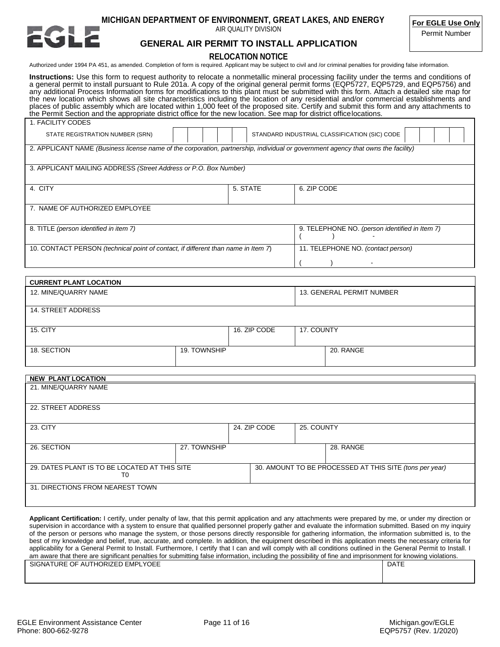

**MICHIGAN DEPARTMENT OF ENVIRONMENT, GREAT LAKES, AND ENERGY**

AIR QUALITY DIVISION

**For EGLE Use Only**

Permit Number

#### **GENERAL AIR PERMIT TO INSTALL APPLICATION**

#### **RELOCATION NOTICE**

Authorized under 1994 PA 451, as amended. Completion of form is required. Applicant may be subject to civil and /or criminal penalties for providing false information.

**Instructions:** Use this form to request authority to relocate a nonmetallic mineral processing facility under the terms and conditions of a general permit to install pursuant to Rule 201a. A copy of the original general permit forms (EQP5727, EQP5729, and EQP5756) and any additional Process Information forms for modifications to this plant must be submitted with this form. Attach a detailed site map for the new location which shows all site characteristics including the location of any residential and/or commercial establishments and places of public assembly which are located within 1,000 feet of the proposed site. Certify and submit this form and any attachments to the Permit Section and the appropriate district office for the new location. See map for district officelocations.

| 1. FACILITY CODES                                                                                                                 |                                               |                                                |  |  |  |
|-----------------------------------------------------------------------------------------------------------------------------------|-----------------------------------------------|------------------------------------------------|--|--|--|
| STATE REGISTRATION NUMBER (SRN)                                                                                                   | STANDARD INDUSTRIAL CLASSIFICATION (SIC) CODE |                                                |  |  |  |
| 2. APPLICANT NAME (Business license name of the corporation, partnership, individual or government agency that owns the facility) |                                               |                                                |  |  |  |
| 3. APPLICANT MAILING ADDRESS (Street Address or P.O. Box Number)                                                                  |                                               |                                                |  |  |  |
| 4. CITY                                                                                                                           | 5. STATE                                      | 6. ZIP CODE                                    |  |  |  |
| 7. NAME OF AUTHORIZED EMPLOYEE                                                                                                    |                                               |                                                |  |  |  |
| 8. TITLE (person identified in item 7)                                                                                            |                                               | 9. TELEPHONE NO. (person identified in Item 7) |  |  |  |
| 10. CONTACT PERSON (technical point of contact, if different than name in Item 7)                                                 |                                               | 11. TELEPHONE NO. (contact person)             |  |  |  |
|                                                                                                                                   |                                               |                                                |  |  |  |

| <b>CURRENT PLANT LOCATION</b> |              |              |            |                           |
|-------------------------------|--------------|--------------|------------|---------------------------|
| 12. MINE/QUARRY NAME          |              |              |            | 13. GENERAL PERMIT NUMBER |
| 14. STREET ADDRESS            |              |              |            |                           |
| <b>15. CITY</b>               |              | 16. ZIP CODE | 17. COUNTY |                           |
| 18. SECTION                   | 19. TOWNSHIP |              |            | 20. RANGE                 |

| <b>NEW PLANT LOCATION</b>                           |              |              |            |                                                         |
|-----------------------------------------------------|--------------|--------------|------------|---------------------------------------------------------|
| 21. MINE/QUARRY NAME                                |              |              |            |                                                         |
| 22. STREET ADDRESS                                  |              |              |            |                                                         |
| 23. CITY                                            |              | 24. ZIP CODE | 25. COUNTY |                                                         |
| 26. SECTION                                         | 27. TOWNSHIP |              |            | 28. RANGE                                               |
| 29. DATES PLANT IS TO BE LOCATED AT THIS SITE<br>T0 |              |              |            | 30. AMOUNT TO BE PROCESSED AT THIS SITE (tons per year) |
| 31. DIRECTIONS FROM NEAREST TOWN                    |              |              |            |                                                         |

**Applicant Certification:** I certify, under penalty of law, that this permit application and any attachments were prepared by me, or under my direction or supervision in accordance with a system to ensure that qualified personnel properly gather and evaluate the information submitted. Based on my inquiry of the person or persons who manage the system, or those persons directly responsible for gathering information, the information submitted is, to the best of my knowledge and belief, true, accurate, and complete. In addition, the equipment described in this application meets the necessary criteria for applicability for a General Permit to Install. Furthermore, I certify that I can and will comply with all conditions outlined in the General Permit to Install. I am aware that there are significant penalties for submitting false information, including the possibility of fine and imprisonment for knowing violations.

| <b>EMPLYOEE</b><br><b>URE</b><br>OF.<br>AUTHORIZED EMPI Y<br><b>SIGNAT</b><br>$\sim$ $\sim$ $\sim$ $\sim$ $\sim$ $\sim$ $\sim$ | <b>DATE</b> |
|--------------------------------------------------------------------------------------------------------------------------------|-------------|
|                                                                                                                                |             |
|                                                                                                                                |             |